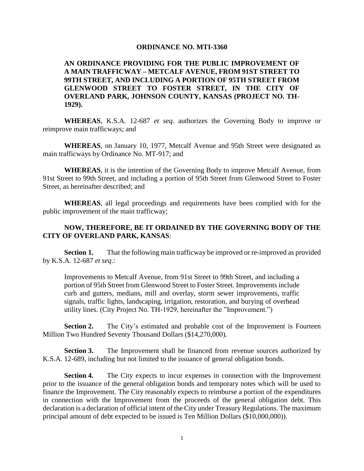## **ORDINANCE NO. MTI-3360**

## **AN ORDINANCE PROVIDING FOR THE PUBLIC IMPROVEMENT OF A MAIN TRAFFICWAY – METCALF AVENUE, FROM 91ST STREET TO 99TH STREET, AND INCLUDING A PORTION OF 95TH STREET FROM GLENWOOD STREET TO FOSTER STREET, IN THE CITY OF OVERLAND PARK, JOHNSON COUNTY, KANSAS (PROJECT NO. TH-1929).**

**WHEREAS**, K.S.A. 12-687 *et seq.* authorizes the Governing Body to improve or reimprove main trafficways; and

**WHEREAS**, on January 10, 1977, Metcalf Avenue and 95th Street were designated as main trafficways by Ordinance No. MT-917; and

**WHEREAS**, it is the intention of the Governing Body to improve Metcalf Avenue, from 91st Street to 99th Street, and including a portion of 95th Street from Glenwood Street to Foster Street, as hereinafter described; and

**WHEREAS**, all legal proceedings and requirements have been complied with for the public improvement of the main trafficway;

## **NOW, THEREFORE, BE IT ORDAINED BY THE GOVERNING BODY OF THE CITY OF OVERLAND PARK, KANSAS**:

**Section 1.** That the following main trafficway be improved or re-improved as provided by K.S.A. 12-687 *et seq*.:

Improvements to Metcalf Avenue, from 91st Street to 99th Street, and including a portion of 95th Street from Glenwood Street to Foster Street. Improvements include curb and gutters, medians, mill and overlay, storm sewer improvements, traffic signals, traffic lights, landscaping, irrigation, restoration, and burying of overhead utility lines. (City Project No. TH-1929, hereinafter the "Improvement.")

**Section 2.** The City's estimated and probable cost of the Improvement is Fourteen Million Two Hundred Seventy Thousand Dollars (\$14,270,000).

**Section 3.** The Improvement shall be financed from revenue sources authorized by K.S.A. 12-689, including but not limited to the issuance of general obligation bonds.

**Section 4.** The City expects to incur expenses in connection with the Improvement prior to the issuance of the general obligation bonds and temporary notes which will be used to finance the Improvement. The City reasonably expects to reimburse a portion of the expenditures in connection with the Improvement from the proceeds of the general obligation debt. This declaration is a declaration of official intent of the City under Treasury Regulations. The maximum principal amount of debt expected to be issued is Ten Million Dollars (\$10,000,000)).